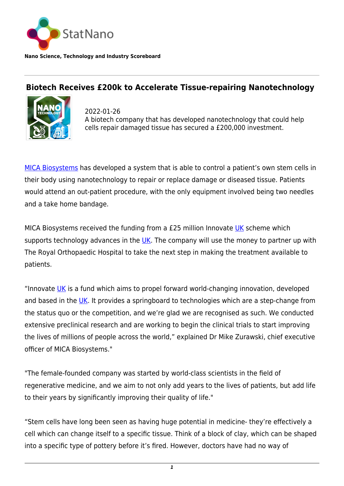

## **Biotech Receives £200k to Accelerate Tissue-repairing Nanotechnology**



2022-01-26 A biotech company that has developed nanotechnology that could help cells repair damaged tissue has secured a £200,000 investment.

[MICA Biosystems](https://www.micabiosystems.co.uk/) has developed a system that is able to control a patient's own stem cells in their body using nanotechnology to repair or replace damage or diseased tissue. Patients would attend an out-patient procedure, with the only equipment involved being two needles and a take home bandage.

MICA Biosystems received the funding from a £25 million Innovate [UK](http://statnano.com/country/UK) scheme which supports technology advances in the  $UK$ . The company will use the money to partner up with The Royal Orthopaedic Hospital to take the next step in making the treatment available to patients.

"Innovate [UK](http://statnano.com/country/UK) is a fund which aims to propel forward world-changing innovation, developed and based in the [UK.](http://statnano.com/country/UK) It provides a springboard to technologies which are a step-change from the status quo or the competition, and we're glad we are recognised as such. We conducted extensive preclinical research and are working to begin the clinical trials to start improving the lives of millions of people across the world," explained Dr Mike Zurawski, chief executive officer of MICA Biosystems."

"The female-founded company was started by world-class scientists in the field of regenerative medicine, and we aim to not only add years to the lives of patients, but add life to their years by significantly improving their quality of life."

"Stem cells have long been seen as having huge potential in medicine- they're effectively a cell which can change itself to a specific tissue. Think of a block of clay, which can be shaped into a specific type of pottery before it's fired. However, doctors have had no way of